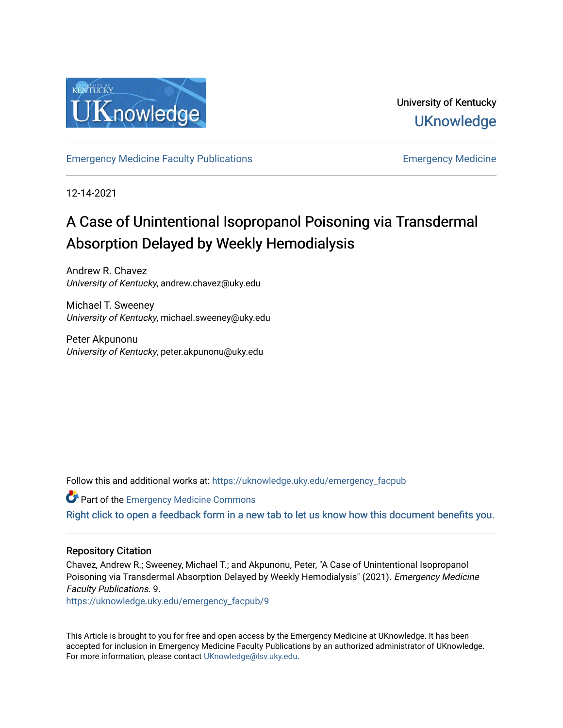

University of Kentucky **UKnowledge** 

[Emergency Medicine Faculty Publications](https://uknowledge.uky.edu/emergency_facpub) [Emergency Medicine](https://uknowledge.uky.edu/emergency) 

12-14-2021

# A Case of Unintentional Isopropanol Poisoning via Transdermal Absorption Delayed by Weekly Hemodialysis

Andrew R. Chavez University of Kentucky, andrew.chavez@uky.edu

Michael T. Sweeney University of Kentucky, michael.sweeney@uky.edu

Peter Akpunonu University of Kentucky, peter.akpunonu@uky.edu

Follow this and additional works at: [https://uknowledge.uky.edu/emergency\\_facpub](https://uknowledge.uky.edu/emergency_facpub?utm_source=uknowledge.uky.edu%2Femergency_facpub%2F9&utm_medium=PDF&utm_campaign=PDFCoverPages) 

**Part of the [Emergency Medicine Commons](http://network.bepress.com/hgg/discipline/685?utm_source=uknowledge.uky.edu%2Femergency_facpub%2F9&utm_medium=PDF&utm_campaign=PDFCoverPages)** [Right click to open a feedback form in a new tab to let us know how this document benefits you.](https://uky.az1.qualtrics.com/jfe/form/SV_9mq8fx2GnONRfz7)

### Repository Citation

Chavez, Andrew R.; Sweeney, Michael T.; and Akpunonu, Peter, "A Case of Unintentional Isopropanol Poisoning via Transdermal Absorption Delayed by Weekly Hemodialysis" (2021). Emergency Medicine Faculty Publications. 9.

[https://uknowledge.uky.edu/emergency\\_facpub/9](https://uknowledge.uky.edu/emergency_facpub/9?utm_source=uknowledge.uky.edu%2Femergency_facpub%2F9&utm_medium=PDF&utm_campaign=PDFCoverPages) 

This Article is brought to you for free and open access by the Emergency Medicine at UKnowledge. It has been accepted for inclusion in Emergency Medicine Faculty Publications by an authorized administrator of UKnowledge. For more information, please contact [UKnowledge@lsv.uky.edu.](mailto:UKnowledge@lsv.uky.edu)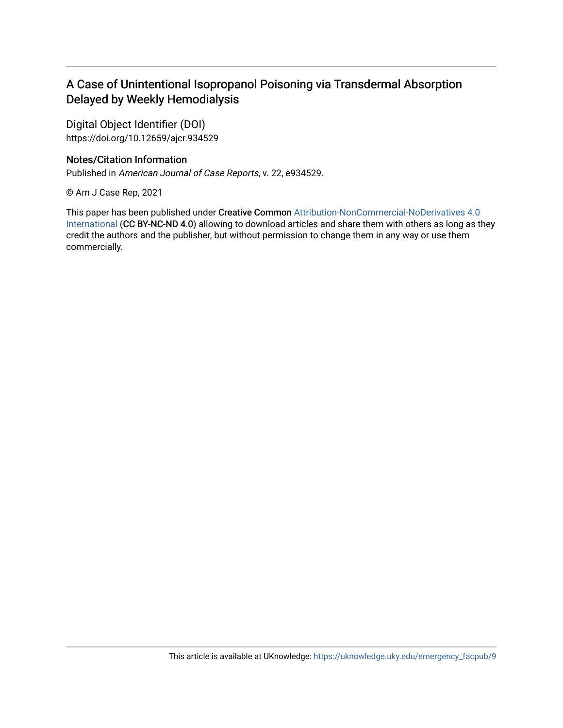## A Case of Unintentional Isopropanol Poisoning via Transdermal Absorption Delayed by Weekly Hemodialysis

Digital Object Identifier (DOI) https://doi.org/10.12659/ajcr.934529

## Notes/Citation Information

Published in American Journal of Case Reports, v. 22, e934529.

© Am J Case Rep, 2021

This paper has been published under Creative Common [Attribution-NonCommercial-NoDerivatives 4.0](https://creativecommons.org/licenses/by-nc-nd/4.0/) [International](https://creativecommons.org/licenses/by-nc-nd/4.0/) (CC BY-NC-ND 4.0) allowing to download articles and share them with others as long as they credit the authors and the publisher, but without permission to change them in any way or use them commercially.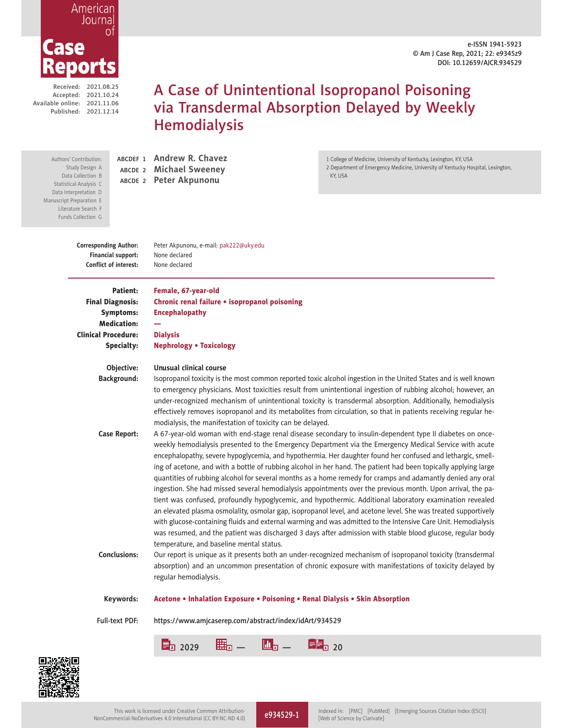e-ISSN 1941-5923 © Am J Case Rep, 2021; 22: e9345z9 DOI: 10.12659/AJCR.934529

# l O

American Journa

Received: 2021.08.25 Accepted: 2021.10.24 Available online: 2021.11.06 Published: 2021.12.14

## A Case of Unintentional Isopropanol Poisoning via Transdermal Absorption Delayed by Weekly **Hemodialysis**

Authors' Contribution: Study Design A Data Collection B Statistical Analysis C Data Interpretation D Manuscript Preparation E Literature Search F Funds Collection G

 ABCDEF 1 **Andrew R. Chavez** ABCDE 2 **Michael Sweeney** ABCDE 2 **Peter Akpunonu**

1 College of Medicine, University of Kentucky, Lexington, KY, USA

2 Department of Emergency Medicine, University of Kentucky Hospital, Lexington, KY USA

**Financial support:** None declared **Conflict of interest:** None declared

 **Corresponding Author:** Peter Akpunonu, e-mail: pak222@uky.edu

 Patient: Female, 67-year-old Medication: — Clinical Procedure: Dialysis

Final Diagnosis: Chronic renal failure . isopropanol poisoning Symptoms: Encephalopathy

Specialty: Nephrology . Toxicology

#### **Objective: Unusual clinical course**

**Background:** Isopropanol toxicity is the most common reported toxic alcohol ingestion in the United States and is well known to emergency physicians. Most toxicities result from unintentional ingestion of rubbing alcohol; however, an under-recognized mechanism of unintentional toxicity is transdermal absorption. Additionally, hemodialysis effectively removes isopropanol and its metabolites from circulation, so that in patients receiving regular hemodialysis, the manifestation of toxicity can be delayed.

**Case Report:** A 67-year-old woman with end-stage renal disease secondary to insulin-dependent type II diabetes on onceweekly hemodialysis presented to the Emergency Department via the Emergency Medical Service with acute encephalopathy, severe hypoglycemia, and hypothermia. Her daughter found her confused and lethargic, smelling of acetone, and with a bottle of rubbing alcohol in her hand. The patient had been topically applying large quantities of rubbing alcohol for several months as a home remedy for cramps and adamantly denied any oral ingestion. She had missed several hemodialysis appointments over the previous month. Upon arrival, the patient was confused, profoundly hypoglycemic, and hypothermic. Additional laboratory examination revealed an elevated plasma osmolality, osmolar gap, isopropanol level, and acetone level. She was treated supportively with glucose-containing fluids and external warming and was admitted to the Intensive Care Unit. Hemodialysis was resumed, and the patient was discharged 3 days after admission with stable blood glucose, regular body temperature, and baseline mental status.

**Conclusions:** Our report is unique as it presents both an under-recognized mechanism of isopropanol toxicity (transdermal absorption) and an uncommon presentation of chronic exposure with manifestations of toxicity delayed by regular hemodialysis.

Keywords: Acetone . Inhalation Exposure . Poisoning . Renal Dialysis . Skin Absorption

Full-text PDF: https://www.amjcaserep.com/abstract/index/idArt/934529



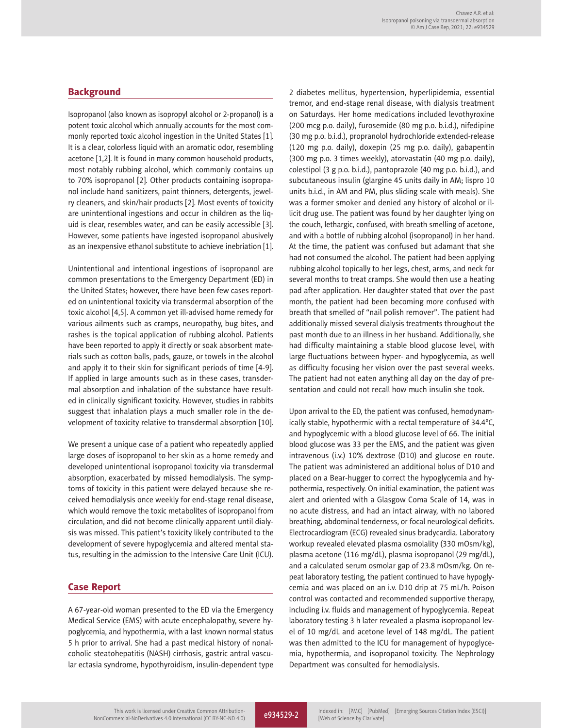#### **Background**

Isopropanol (also known as isopropyl alcohol or 2-propanol) is a potent toxic alcohol which annually accounts for the most commonly reported toxic alcohol ingestion in the United States [1]. It is a clear, colorless liquid with an aromatic odor, resembling acetone [1,2]. It is found in many common household products, most notably rubbing alcohol, which commonly contains up to 70% isopropanol [2]. Other products containing isopropanol include hand sanitizers, paint thinners, detergents, jewelry cleaners, and skin/hair products [2]. Most events of toxicity are unintentional ingestions and occur in children as the liquid is clear, resembles water, and can be easily accessible [3]. However, some patients have ingested isopropanol abusively as an inexpensive ethanol substitute to achieve inebriation [1].

Unintentional and intentional ingestions of isopropanol are common presentations to the Emergency Department (ED) in the United States; however, there have been few cases reported on unintentional toxicity via transdermal absorption of the toxic alcohol [4,5]. A common yet ill-advised home remedy for various ailments such as cramps, neuropathy, bug bites, and rashes is the topical application of rubbing alcohol. Patients have been reported to apply it directly or soak absorbent materials such as cotton balls, pads, gauze, or towels in the alcohol and apply it to their skin for significant periods of time [4-9]. If applied in large amounts such as in these cases, transdermal absorption and inhalation of the substance have resulted in clinically significant toxicity. However, studies in rabbits suggest that inhalation plays a much smaller role in the development of toxicity relative to transdermal absorption [10].

We present a unique case of a patient who repeatedly applied large doses of isopropanol to her skin as a home remedy and developed unintentional isopropanol toxicity via transdermal absorption, exacerbated by missed hemodialysis. The symptoms of toxicity in this patient were delayed because she received hemodialysis once weekly for end-stage renal disease, which would remove the toxic metabolites of isopropanol from circulation, and did not become clinically apparent until dialysis was missed. This patient's toxicity likely contributed to the development of severe hypoglycemia and altered mental status, resulting in the admission to the Intensive Care Unit (ICU).

#### **Case Report**

A 67-year-old woman presented to the ED via the Emergency Medical Service (EMS) with acute encephalopathy, severe hypoglycemia, and hypothermia, with a last known normal status 5 h prior to arrival. She had a past medical history of nonalcoholic steatohepatitis (NASH) cirrhosis, gastric antral vascular ectasia syndrome, hypothyroidism, insulin-dependent type 2 diabetes mellitus, hypertension, hyperlipidemia, essential tremor, and end-stage renal disease, with dialysis treatment on Saturdays. Her home medications included levothyroxine (200 mcg p.o. daily), furosemide (80 mg p.o. b.i.d.), nifedipine (30 mg p.o. b.i.d.), propranolol hydrochloride extended-release (120 mg p.o. daily), doxepin (25 mg p.o. daily), gabapentin (300 mg p.o. 3 times weekly), atorvastatin (40 mg p.o. daily), colestipol (3 g p.o. b.i.d.), pantoprazole (40 mg p.o. b.i.d.), and subcutaneous insulin (glargine 45 units daily in AM; lispro 10 units b.i.d., in AM and PM, plus sliding scale with meals). She was a former smoker and denied any history of alcohol or illicit drug use. The patient was found by her daughter lying on the couch, lethargic, confused, with breath smelling of acetone, and with a bottle of rubbing alcohol (isopropanol) in her hand. At the time, the patient was confused but adamant that she had not consumed the alcohol. The patient had been applying rubbing alcohol topically to her legs, chest, arms, and neck for several months to treat cramps. She would then use a heating pad after application. Her daughter stated that over the past month, the patient had been becoming more confused with breath that smelled of "nail polish remover". The patient had additionally missed several dialysis treatments throughout the past month due to an illness in her husband. Additionally, she had difficulty maintaining a stable blood glucose level, with large fluctuations between hyper- and hypoglycemia, as well as difficulty focusing her vision over the past several weeks. The patient had not eaten anything all day on the day of presentation and could not recall how much insulin she took.

Upon arrival to the ED, the patient was confused, hemodynamically stable, hypothermic with a rectal temperature of 34.4°C, and hypoglycemic with a blood glucose level of 66. The initial blood glucose was 33 per the EMS, and the patient was given intravenous (i.v.) 10% dextrose (D10) and glucose en route. The patient was administered an additional bolus of D10 and placed on a Bear-hugger to correct the hypoglycemia and hypothermia, respectively. On initial examination, the patient was alert and oriented with a Glasgow Coma Scale of 14, was in no acute distress, and had an intact airway, with no labored breathing, abdominal tenderness, or focal neurological deficits. Electrocardiogram (ECG) revealed sinus bradycardia. Laboratory workup revealed elevated plasma osmolality (330 mOsm/kg), plasma acetone (116 mg/dL), plasma isopropanol (29 mg/dL), and a calculated serum osmolar gap of 23.8 mOsm/kg. On repeat laboratory testing, the patient continued to have hypoglycemia and was placed on an i.v. D10 drip at 75 mL/h. Poison control was contacted and recommended supportive therapy, including i.v. fluids and management of hypoglycemia. Repeat laboratory testing 3 h later revealed a plasma isopropanol level of 10 mg/dL and acetone level of 148 mg/dL. The patient was then admitted to the ICU for management of hypoglycemia, hypothermia, and isopropanol toxicity. The Nephrology Department was consulted for hemodialysis.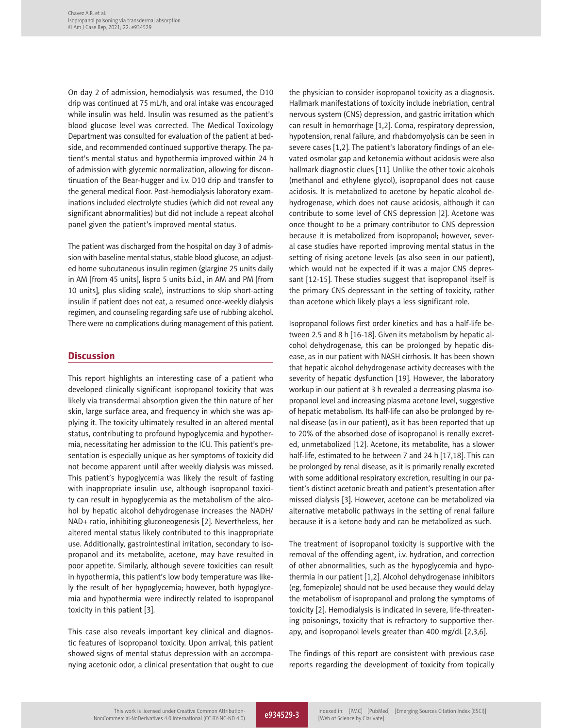On day 2 of admission, hemodialysis was resumed, the D10 drip was continued at 75 mL/h, and oral intake was encouraged while insulin was held. Insulin was resumed as the patient's blood glucose level was corrected. The Medical Toxicology Department was consulted for evaluation of the patient at bedside, and recommended continued supportive therapy. The patient's mental status and hypothermia improved within 24 h of admission with glycemic normalization, allowing for discontinuation of the Bear-hugger and i.v. D10 drip and transfer to the general medical floor. Post-hemodialysis laboratory examinations included electrolyte studies (which did not reveal any significant abnormalities) but did not include a repeat alcohol panel given the patient's improved mental status.

The patient was discharged from the hospital on day 3 of admission with baseline mental status, stable blood glucose, an adjusted home subcutaneous insulin regimen (glargine 25 units daily in AM [from 45 units], lispro 5 units b.i.d., in AM and PM [from 10 units], plus sliding scale), instructions to skip short-acting insulin if patient does not eat, a resumed once-weekly dialysis regimen, and counseling regarding safe use of rubbing alcohol. There were no complications during management of this patient.

#### **Discussion**

This report highlights an interesting case of a patient who developed clinically significant isopropanol toxicity that was likely via transdermal absorption given the thin nature of her skin, large surface area, and frequency in which she was applying it. The toxicity ultimately resulted in an altered mental status, contributing to profound hypoglycemia and hypothermia, necessitating her admission to the ICU. This patient's presentation is especially unique as her symptoms of toxicity did not become apparent until after weekly dialysis was missed. This patient's hypoglycemia was likely the result of fasting with inappropriate insulin use, although isopropanol toxicity can result in hypoglycemia as the metabolism of the alcohol by hepatic alcohol dehydrogenase increases the NADH/ NAD+ ratio, inhibiting gluconeogenesis [2]. Nevertheless, her altered mental status likely contributed to this inappropriate use. Additionally, gastrointestinal irritation, secondary to isopropanol and its metabolite, acetone, may have resulted in poor appetite. Similarly, although severe toxicities can result in hypothermia, this patient's low body temperature was likely the result of her hypoglycemia; however, both hypoglycemia and hypothermia were indirectly related to isopropanol toxicity in this patient [3].

This case also reveals important key clinical and diagnostic features of isopropanol toxicity. Upon arrival, this patient showed signs of mental status depression with an accompanying acetonic odor, a clinical presentation that ought to cue

the physician to consider isopropanol toxicity as a diagnosis. Hallmark manifestations of toxicity include inebriation, central nervous system (CNS) depression, and gastric irritation which can result in hemorrhage [1,2]. Coma, respiratory depression, hypotension, renal failure, and rhabdomyolysis can be seen in severe cases [1,2]. The patient's laboratory findings of an elevated osmolar gap and ketonemia without acidosis were also hallmark diagnostic clues [11]. Unlike the other toxic alcohols (methanol and ethylene glycol), isopropanol does not cause acidosis. It is metabolized to acetone by hepatic alcohol dehydrogenase, which does not cause acidosis, although it can contribute to some level of CNS depression [2]. Acetone was once thought to be a primary contributor to CNS depression because it is metabolized from isopropanol; however, several case studies have reported improving mental status in the setting of rising acetone levels (as also seen in our patient), which would not be expected if it was a major CNS depressant [12-15]. These studies suggest that isopropanol itself is the primary CNS depressant in the setting of toxicity, rather than acetone which likely plays a less significant role.

Isopropanol follows first order kinetics and has a half-life between 2.5 and 8 h [16-18]. Given its metabolism by hepatic alcohol dehydrogenase, this can be prolonged by hepatic disease, as in our patient with NASH cirrhosis. It has been shown that hepatic alcohol dehydrogenase activity decreases with the severity of hepatic dysfunction [19]. However, the laboratory workup in our patient at 3 h revealed a decreasing plasma isopropanol level and increasing plasma acetone level, suggestive of hepatic metabolism. Its half-life can also be prolonged by renal disease (as in our patient), as it has been reported that up to 20% of the absorbed dose of isopropanol is renally excreted, unmetabolized [12]. Acetone, its metabolite, has a slower half-life, estimated to be between 7 and 24 h [17,18]. This can be prolonged by renal disease, as it is primarily renally excreted with some additional respiratory excretion, resulting in our patient's distinct acetonic breath and patient's presentation after missed dialysis [3]. However, acetone can be metabolized via alternative metabolic pathways in the setting of renal failure because it is a ketone body and can be metabolized as such.

The treatment of isopropanol toxicity is supportive with the removal of the offending agent, i.v. hydration, and correction of other abnormalities, such as the hypoglycemia and hypothermia in our patient [1,2]. Alcohol dehydrogenase inhibitors (eg, fomepizole) should not be used because they would delay the metabolism of isopropanol and prolong the symptoms of toxicity [2]. Hemodialysis is indicated in severe, life-threatening poisonings, toxicity that is refractory to supportive therapy, and isopropanol levels greater than 400 mg/dL [2,3,6].

The findings of this report are consistent with previous case reports regarding the development of toxicity from topically